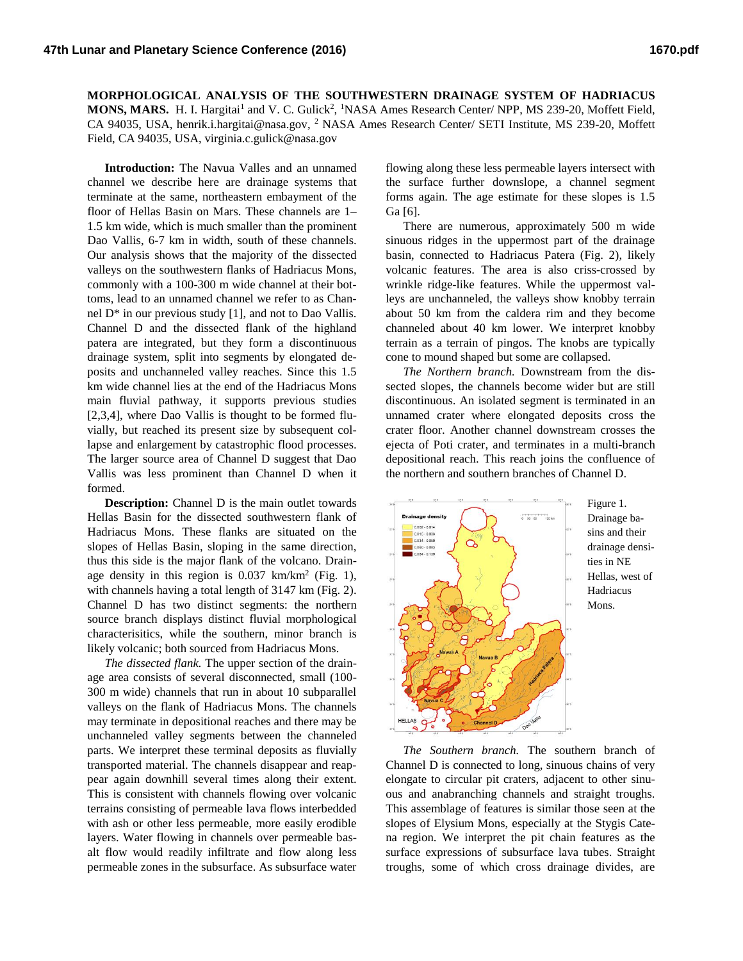**MORPHOLOGICAL ANALYSIS OF THE SOUTHWESTERN DRAINAGE SYSTEM OF HADRIACUS MONS, MARS.** H. I. Hargitai<sup>1</sup> and V. C. Gulick<sup>2</sup>, <sup>1</sup>NASA Ames Research Center/ NPP, MS 239-20, Moffett Field, CA 94035, USA, henrik.i.hargitai@nasa.gov, <sup>2</sup> NASA Ames Research Center/ SETI Institute, MS 239-20, Moffett Field, CA 94035, USA, virginia.c.gulick@nasa.gov

**Introduction:** The Navua Valles and an unnamed channel we describe here are drainage systems that terminate at the same, northeastern embayment of the floor of Hellas Basin on Mars. These channels are 1– 1.5 km wide, which is much smaller than the prominent Dao Vallis, 6-7 km in width, south of these channels. Our analysis shows that the majority of the dissected valleys on the southwestern flanks of Hadriacus Mons, commonly with a 100-300 m wide channel at their bottoms, lead to an unnamed channel we refer to as Channel D\* in our previous study [1], and not to Dao Vallis. Channel D and the dissected flank of the highland patera are integrated, but they form a discontinuous drainage system, split into segments by elongated deposits and unchanneled valley reaches. Since this 1.5 km wide channel lies at the end of the Hadriacus Mons main fluvial pathway, it supports previous studies [2,3,4], where Dao Vallis is thought to be formed fluvially, but reached its present size by subsequent collapse and enlargement by catastrophic flood processes. The larger source area of Channel D suggest that Dao Vallis was less prominent than Channel D when it formed.

**Description:** Channel D is the main outlet towards Hellas Basin for the dissected southwestern flank of Hadriacus Mons. These flanks are situated on the slopes of Hellas Basin, sloping in the same direction, thus this side is the major flank of the volcano. Drainage density in this region is  $0.037$  km/km<sup>2</sup> (Fig. 1), with channels having a total length of 3147 km (Fig. 2). Channel D has two distinct segments: the northern source branch displays distinct fluvial morphological characterisitics, while the southern, minor branch is likely volcanic; both sourced from Hadriacus Mons.

*The dissected flank.* The upper section of the drainage area consists of several disconnected, small (100- 300 m wide) channels that run in about 10 subparallel valleys on the flank of Hadriacus Mons. The channels may terminate in depositional reaches and there may be unchanneled valley segments between the channeled parts. We interpret these terminal deposits as fluvially transported material. The channels disappear and reappear again downhill several times along their extent. This is consistent with channels flowing over volcanic terrains consisting of permeable lava flows interbedded with ash or other less permeable, more easily erodible layers. Water flowing in channels over permeable basalt flow would readily infiltrate and flow along less permeable zones in the subsurface. As subsurface water

flowing along these less permeable layers intersect with the surface further downslope, a channel segment forms again. The age estimate for these slopes is 1.5 Ga [6].

There are numerous, approximately 500 m wide sinuous ridges in the uppermost part of the drainage basin, connected to Hadriacus Patera (Fig. 2), likely volcanic features. The area is also criss-crossed by wrinkle ridge-like features. While the uppermost valleys are unchanneled, the valleys show knobby terrain about 50 km from the caldera rim and they become channeled about 40 km lower. We interpret knobby terrain as a terrain of pingos. The knobs are typically cone to mound shaped but some are collapsed.

*The Northern branch.* Downstream from the dissected slopes, the channels become wider but are still discontinuous. An isolated segment is terminated in an unnamed crater where elongated deposits cross the crater floor. Another channel downstream crosses the ejecta of Poti crater, and terminates in a multi-branch depositional reach. This reach joins the confluence of the northern and southern branches of Channel D.



*The Southern branch.* The southern branch of Channel D is connected to long, sinuous chains of very elongate to circular pit craters, adjacent to other sinuous and anabranching channels and straight troughs. This assemblage of features is similar those seen at the slopes of Elysium Mons, especially at the Stygis Catena region. We interpret the pit chain features as the surface expressions of subsurface lava tubes. Straight troughs, some of which cross drainage divides, are